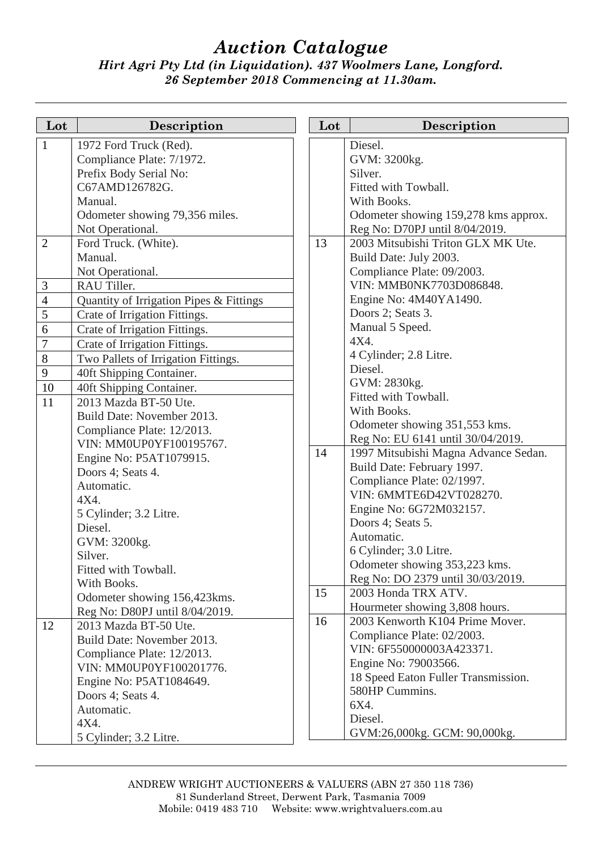| Lot            | Description                                           | Lot | Description                                              |
|----------------|-------------------------------------------------------|-----|----------------------------------------------------------|
| $\mathbf{1}$   | 1972 Ford Truck (Red).                                |     | Diesel.                                                  |
|                | Compliance Plate: 7/1972.                             |     | GVM: 3200kg.                                             |
|                | Prefix Body Serial No:                                |     | Silver.                                                  |
|                | C67AMD126782G.                                        |     | Fitted with Towball.                                     |
|                | Manual.                                               |     | With Books.                                              |
|                | Odometer showing 79,356 miles.                        |     | Odometer showing 159,278 kms approx.                     |
|                | Not Operational.                                      |     | Reg No: D70PJ until 8/04/2019.                           |
| $\overline{2}$ | Ford Truck. (White).                                  | 13  | 2003 Mitsubishi Triton GLX MK Ute.                       |
|                | Manual.                                               |     | Build Date: July 2003.                                   |
|                | Not Operational.                                      |     | Compliance Plate: 09/2003.                               |
| 3              | RAU Tiller.                                           |     | VIN: MMB0NK7703D086848.                                  |
| $\overline{4}$ | Quantity of Irrigation Pipes & Fittings               |     | Engine No: 4M40YA1490.                                   |
| 5              | Crate of Irrigation Fittings.                         |     | Doors 2; Seats 3.                                        |
| 6              | Crate of Irrigation Fittings.                         |     | Manual 5 Speed.                                          |
| $\overline{7}$ | Crate of Irrigation Fittings.                         |     | 4X4.                                                     |
| 8              | Two Pallets of Irrigation Fittings.                   |     | 4 Cylinder; 2.8 Litre.                                   |
| 9              | 40ft Shipping Container.                              |     | Diesel.                                                  |
| 10             | 40ft Shipping Container.                              |     | GVM: 2830kg.                                             |
| 11             | 2013 Mazda BT-50 Ute.                                 |     | Fitted with Towball.                                     |
|                | Build Date: November 2013.                            |     | With Books.                                              |
|                | Compliance Plate: 12/2013.                            |     | Odometer showing 351,553 kms.                            |
|                | VIN: MM0UP0YF100195767.                               |     | Reg No: EU 6141 until 30/04/2019.                        |
|                | Engine No: P5AT1079915.                               | 14  | 1997 Mitsubishi Magna Advance Sedan.                     |
|                | Doors 4; Seats 4.                                     |     | Build Date: February 1997.<br>Compliance Plate: 02/1997. |
|                | Automatic.                                            |     | VIN: 6MMTE6D42VT028270.                                  |
|                | 4X4.                                                  |     | Engine No: 6G72M032157.                                  |
|                | 5 Cylinder; 3.2 Litre.                                |     | Doors 4; Seats 5.                                        |
|                | Diesel.                                               |     | Automatic.                                               |
|                | GVM: 3200kg.                                          |     | 6 Cylinder; 3.0 Litre.                                   |
|                | Silver.                                               |     | Odometer showing 353,223 kms.                            |
|                | Fitted with Towball.                                  |     | Reg No: DO 2379 until 30/03/2019.                        |
|                | With Books.                                           | 15  | 2003 Honda TRX ATV.                                      |
|                | Odometer showing 156,423kms.                          |     | Hourmeter showing 3,808 hours.                           |
|                | Reg No: D80PJ until 8/04/2019.                        | 16  | 2003 Kenworth K104 Prime Mover.                          |
| 12             | 2013 Mazda BT-50 Ute.<br>Build Date: November 2013.   |     | Compliance Plate: 02/2003.                               |
|                |                                                       |     | VIN: 6F550000003A423371.                                 |
|                | Compliance Plate: 12/2013.<br>VIN: MM0UP0YF100201776. |     | Engine No: 79003566.                                     |
|                | Engine No: P5AT1084649.                               |     | 18 Speed Eaton Fuller Transmission.                      |
|                | Doors 4; Seats 4.                                     |     | 580HP Cummins.                                           |
|                | Automatic.                                            |     | 6X4.                                                     |
|                | 4X4.                                                  |     | Diesel.                                                  |
|                | 5 Cylinder; 3.2 Litre.                                |     | GVM:26,000kg. GCM: 90,000kg.                             |
|                |                                                       |     |                                                          |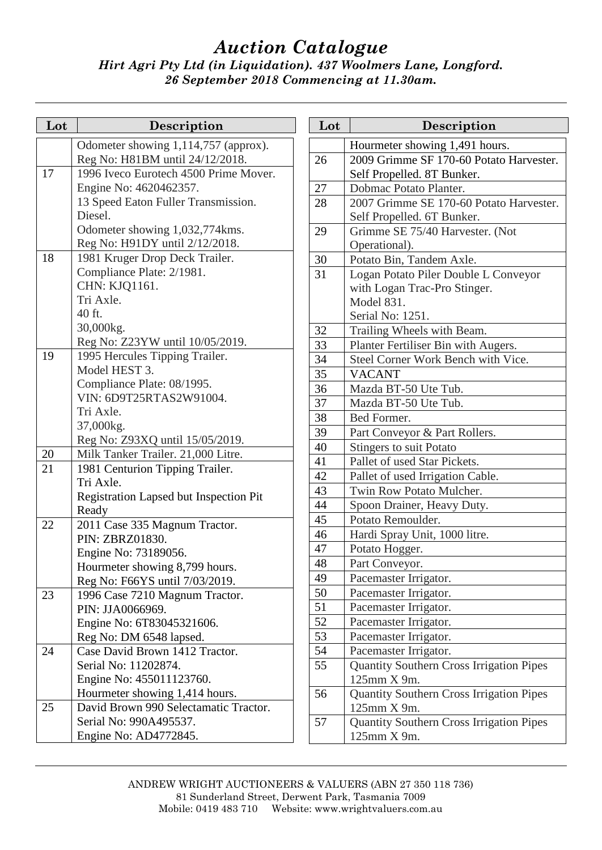| Lot | Description                                   | Lot | Description                           |
|-----|-----------------------------------------------|-----|---------------------------------------|
|     | Odometer showing 1,114,757 (approx).          |     | Hourmeter showing 1,491 hours         |
|     | Reg No: H81BM until 24/12/2018.               | 26  | 2009 Grimme SF 170-60 Pota            |
| 17  | 1996 Iveco Eurotech 4500 Prime Mover.         |     | Self Propelled. 8T Bunker.            |
|     | Engine No: 4620462357.                        | 27  | Dobmac Potato Planter.                |
|     | 13 Speed Eaton Fuller Transmission.           | 28  | 2007 Grimme SE 170-60 Pota            |
|     | Diesel.                                       |     | Self Propelled. 6T Bunker.            |
|     | Odometer showing 1,032,774kms.                | 29  | Grimme SE 75/40 Harvester.            |
|     | Reg No: H91DY until 2/12/2018.                |     | Operational).                         |
| 18  | 1981 Kruger Drop Deck Trailer.                | 30  | Potato Bin, Tandem Axle.              |
|     | Compliance Plate: 2/1981.                     | 31  | Logan Potato Piler Double L 0         |
|     | CHN: KJQ1161.                                 |     | with Logan Trac-Pro Stinger.          |
|     | Tri Axle.                                     |     | Model 831.                            |
|     | 40 ft.                                        |     | Serial No: 1251.                      |
|     | 30,000kg.                                     | 32  | Trailing Wheels with Beam.            |
|     | Reg No: Z23YW until 10/05/2019.               | 33  | Planter Fertiliser Bin with Aug       |
| 19  | 1995 Hercules Tipping Trailer.                | 34  | Steel Corner Work Bench witl          |
|     | Model HEST 3.                                 | 35  | <b>VACANT</b>                         |
|     | Compliance Plate: 08/1995.                    | 36  | Mazda BT-50 Ute Tub.                  |
|     | VIN: 6D9T25RTAS2W91004.                       | 37  | Mazda BT-50 Ute Tub.                  |
|     | Tri Axle.                                     | 38  | Bed Former.                           |
|     | 37,000 kg.                                    | 39  | Part Conveyor & Part Rollers.         |
|     | Reg No: Z93XQ until 15/05/2019.               | 40  | <b>Stingers to suit Potato</b>        |
| 20  | Milk Tanker Trailer. 21,000 Litre.            | 41  | Pallet of used Star Pickets.          |
| 21  | 1981 Centurion Tipping Trailer.               | 42  | Pallet of used Irrigation Cable       |
|     | Tri Axle.                                     | 43  | Twin Row Potato Mulcher.              |
|     | <b>Registration Lapsed but Inspection Pit</b> | 44  | Spoon Drainer, Heavy Duty.            |
|     | Ready                                         | 45  | Potato Remoulder.                     |
| 22  | 2011 Case 335 Magnum Tractor.                 | 46  | Hardi Spray Unit, 1000 litre.         |
|     | PIN: ZBRZ01830.                               | 47  | Potato Hogger.                        |
|     | Engine No: 73189056.                          | 48  | Part Conveyor.                        |
|     | Hourmeter showing 8,799 hours.                | 49  | Pacemaster Irrigator.                 |
|     | Reg No: F66YS until 7/03/2019.                | 50  | Pacemaster Irrigator.                 |
| 23  | 1996 Case 7210 Magnum Tractor.                | 51  | Pacemaster Irrigator.                 |
|     | PIN: JJA0066969.                              | 52  |                                       |
|     | Engine No: 6T83045321606.                     |     | Pacemaster Irrigator.                 |
|     | Reg No: DM 6548 lapsed.                       | 53  | Pacemaster Irrigator.                 |
| 24  | Case David Brown 1412 Tractor.                | 54  | Pacemaster Irrigator.                 |
|     | Serial No: 11202874.                          | 55  | <b>Quantity Southern Cross Irriga</b> |
|     | Engine No: 455011123760.                      |     | 125mm X 9m.                           |
|     | Hourmeter showing 1,414 hours.                | 56  | <b>Quantity Southern Cross Irriga</b> |
| 25  | David Brown 990 Selectamatic Tractor.         |     | 125mm X 9m.                           |
|     | Serial No: 990A495537.                        | 57  | <b>Quantity Southern Cross Irriga</b> |
|     | Engine No: AD4772845.                         |     | 125mm X 9m.                           |

| Lot                                           | Description                                     |  |
|-----------------------------------------------|-------------------------------------------------|--|
|                                               | Hourmeter showing 1,491 hours.                  |  |
| 26                                            | 2009 Grimme SF 170-60 Potato Harvester.         |  |
|                                               | Self Propelled. 8T Bunker.                      |  |
| 27                                            | Dobmac Potato Planter.                          |  |
| 2007 Grimme SE 170-60 Potato Harvester.<br>28 |                                                 |  |
|                                               | Self Propelled. 6T Bunker.                      |  |
| 29                                            | Grimme SE 75/40 Harvester. (Not                 |  |
|                                               | Operational).                                   |  |
| 30                                            | Potato Bin, Tandem Axle.                        |  |
| 31                                            | Logan Potato Piler Double L Conveyor            |  |
|                                               | with Logan Trac-Pro Stinger.                    |  |
|                                               | <b>Model 831.</b>                               |  |
|                                               | Serial No: 1251.                                |  |
| 32                                            | Trailing Wheels with Beam.                      |  |
| 33                                            | Planter Fertiliser Bin with Augers.             |  |
| 34                                            | Steel Corner Work Bench with Vice.              |  |
| 35                                            | <b>VACANT</b>                                   |  |
| 36                                            | Mazda BT-50 Ute Tub.                            |  |
| 37                                            | Mazda BT-50 Ute Tub.                            |  |
| 38                                            | Bed Former.                                     |  |
| 39                                            | Part Conveyor & Part Rollers.                   |  |
| 40                                            | <b>Stingers to suit Potato</b>                  |  |
| 41                                            | Pallet of used Star Pickets.                    |  |
| 42                                            | Pallet of used Irrigation Cable.                |  |
| 43                                            | Twin Row Potato Mulcher.                        |  |
| 44                                            | Spoon Drainer, Heavy Duty.                      |  |
| 45                                            | Potato Remoulder.                               |  |
| 46                                            | Hardi Spray Unit, 1000 litre.                   |  |
| 47                                            | Potato Hogger.                                  |  |
| 48                                            | Part Conveyor.                                  |  |
| 49                                            | Pacemaster Irrigator.                           |  |
| 50                                            | Pacemaster Irrigator.                           |  |
| 51                                            | Pacemaster Irrigator.                           |  |
| 52                                            | Pacemaster Irrigator.                           |  |
| 53                                            | Pacemaster Irrigator.                           |  |
| 54                                            | Pacemaster Irrigator.                           |  |
| 55                                            | <b>Quantity Southern Cross Irrigation Pipes</b> |  |
|                                               | 125mm X 9m.                                     |  |
| 56                                            | <b>Quantity Southern Cross Irrigation Pipes</b> |  |
|                                               | 125mm X 9m.                                     |  |
| 57                                            | Quantity Southern Cross Irrigation Pipes        |  |
|                                               | 125mm X 9m.                                     |  |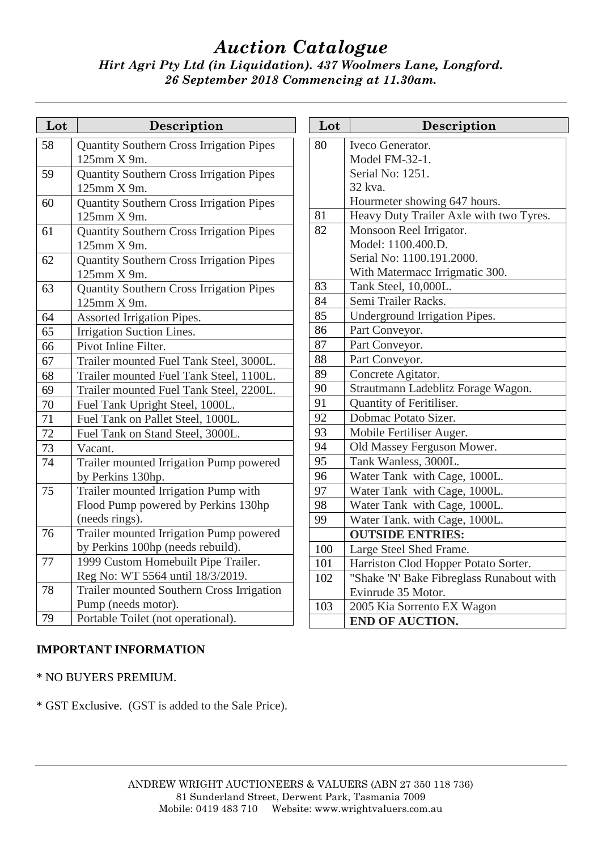| Lot | Description                                                    | Lot | Description                                                 |
|-----|----------------------------------------------------------------|-----|-------------------------------------------------------------|
| 58  | <b>Quantity Southern Cross Irrigation Pipes</b><br>125mm X 9m. | 80  | Iveco Generator.<br>Model FM-32-1.                          |
| 59  | Quantity Southern Cross Irrigation Pipes<br>125mm X 9m.        |     | Serial No: 1251.<br>32 kva.                                 |
| 60  | Quantity Southern Cross Irrigation Pipes<br>125mm X 9m.        | 81  | Hourmeter showing 647 hours<br>Heavy Duty Trailer Axle with |
| 61  | Quantity Southern Cross Irrigation Pipes<br>125mm X 9m.        | 82  | Monsoon Reel Irrigator.<br>Model: 1100.400.D.               |
| 62  | Quantity Southern Cross Irrigation Pipes<br>125mm X 9m.        |     | Serial No: 1100.191.2000.<br>With Matermacc Irrigmatic 30   |
| 63  | <b>Quantity Southern Cross Irrigation Pipes</b>                | 83  | Tank Steel, 10,000L.                                        |
|     | 125mm X 9m.                                                    | 84  | Semi Trailer Racks.                                         |
| 64  | Assorted Irrigation Pipes.                                     | 85  | Underground Irrigation Pipes.                               |
| 65  | Irrigation Suction Lines.                                      | 86  | Part Conveyor.                                              |
| 66  | Pivot Inline Filter.                                           | 87  | Part Conveyor.                                              |
| 67  | Trailer mounted Fuel Tank Steel, 3000L.                        | 88  | Part Conveyor.                                              |
| 68  | Trailer mounted Fuel Tank Steel, 1100L.                        | 89  | Concrete Agitator.                                          |
| 69  | Trailer mounted Fuel Tank Steel, 2200L.                        | 90  | Strautmann Ladeblitz Forage                                 |
| 70  | Fuel Tank Upright Steel, 1000L.                                | 91  | Quantity of Feritiliser.                                    |
| 71  | Fuel Tank on Pallet Steel, 1000L.                              | 92  | Dobmac Potato Sizer.                                        |
| 72  | Fuel Tank on Stand Steel, 3000L.                               | 93  | Mobile Fertiliser Auger.                                    |
| 73  | Vacant.                                                        | 94  | Old Massey Ferguson Mower                                   |
| 74  | Trailer mounted Irrigation Pump powered                        | 95  | Tank Wanless, 3000L.                                        |
|     | by Perkins 130hp.                                              | 96  | Water Tank with Cage, 1000l                                 |
| 75  | Trailer mounted Irrigation Pump with                           | 97  | Water Tank with Cage, 1000l                                 |
|     | Flood Pump powered by Perkins 130hp                            | 98  | Water Tank with Cage, 1000l                                 |
|     | (needs rings).                                                 | 99  | Water Tank. with Cage, 1000l                                |
| 76  | Trailer mounted Irrigation Pump powered                        |     | <b>OUTSIDE ENTRIES:</b>                                     |
|     | by Perkins 100hp (needs rebuild).                              | 100 | Large Steel Shed Frame.                                     |
| 77  | 1999 Custom Homebuilt Pipe Trailer.                            | 101 | Harriston Clod Hopper Potato                                |
|     | Reg No: WT 5564 until 18/3/2019.                               | 102 | "Shake 'N' Bake Fibreglass Ru                               |
| 78  | Trailer mounted Southern Cross Irrigation                      |     | Evinrude 35 Motor.                                          |
|     | Pump (needs motor).                                            | 103 | 2005 Kia Sorrento EX Wagon                                  |
| 79  | Portable Toilet (not operational).                             |     | <b>END OF AUCTION.</b>                                      |

| LOT | Description                              |  |
|-----|------------------------------------------|--|
| 80  | Iveco Generator.                         |  |
|     | Model FM-32-1.                           |  |
|     | Serial No: 1251.                         |  |
|     | 32 kva.                                  |  |
|     | Hourmeter showing 647 hours.             |  |
| 81  | Heavy Duty Trailer Axle with two Tyres.  |  |
| 82  | Monsoon Reel Irrigator.                  |  |
|     | Model: 1100.400.D.                       |  |
|     | Serial No: 1100.191.2000.                |  |
|     | With Matermacc Irrigmatic 300.           |  |
| 83  | Tank Steel, 10,000L.                     |  |
| 84  | Semi Trailer Racks.                      |  |
| 85  | Underground Irrigation Pipes.            |  |
| 86  | Part Conveyor.                           |  |
| 87  | Part Conveyor.                           |  |
| 88  | Part Conveyor.                           |  |
| 89  | Concrete Agitator.                       |  |
| 90  | Strautmann Ladeblitz Forage Wagon.       |  |
| 91  | Quantity of Feritiliser.                 |  |
| 92  | Dobmac Potato Sizer.                     |  |
| 93  | Mobile Fertiliser Auger.                 |  |
| 94  | Old Massey Ferguson Mower.               |  |
| 95  | Tank Wanless, 3000L.                     |  |
| 96  | Water Tank with Cage, 1000L.             |  |
| 97  | Water Tank with Cage, 1000L.             |  |
| 98  | Water Tank with Cage, 1000L.             |  |
| 99  | Water Tank. with Cage, 1000L.            |  |
|     | <b>OUTSIDE ENTRIES:</b>                  |  |
| 100 | Large Steel Shed Frame.                  |  |
| 101 | Harriston Clod Hopper Potato Sorter.     |  |
| 102 | "Shake 'N' Bake Fibreglass Runabout with |  |
|     | Evinrude 35 Motor.                       |  |
| 103 | 2005 Kia Sorrento EX Wagon               |  |
|     | <b>END OF AUCTION.</b>                   |  |

### **IMPORTANT INFORMATION**

- \* NO BUYERS PREMIUM.
- \* GST Exclusive. (GST is added to the Sale Price).